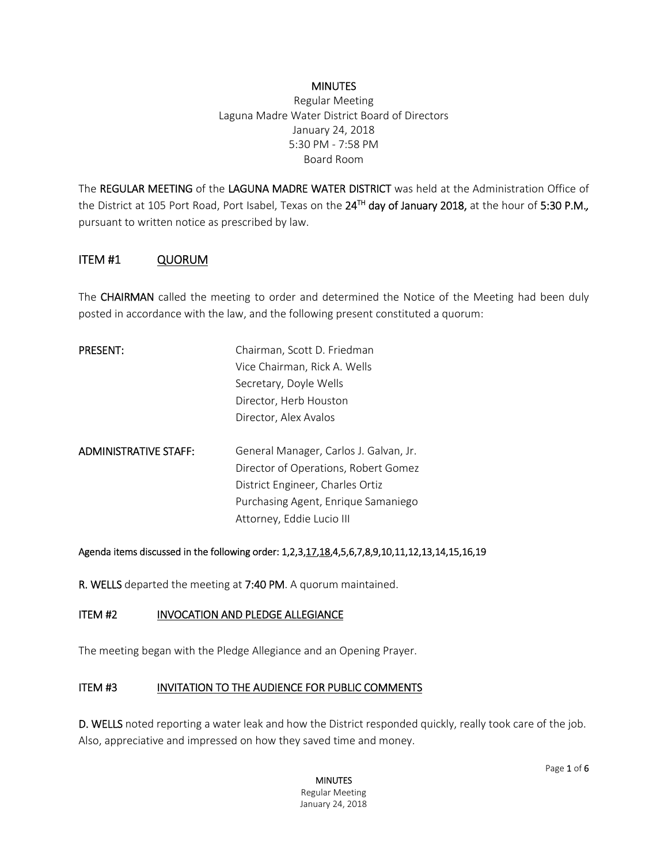#### **MINUTES**

Regular Meeting Laguna Madre Water District Board of Directors January 24, 2018 5:30 PM - 7:58 PM Board Room

The REGULAR MEETING of the LAGUNA MADRE WATER DISTRICT was held at the Administration Office of the District at 105 Port Road, Port Isabel, Texas on the 24TH day of January 2018, at the hour of 5:30 P.M.*,* pursuant to written notice as prescribed by law.

### ITEM #1 QUORUM

The CHAIRMAN called the meeting to order and determined the Notice of the Meeting had been duly posted in accordance with the law, and the following present constituted a quorum:

| <b>PRESENT:</b>              | Chairman, Scott D. Friedman            |
|------------------------------|----------------------------------------|
|                              | Vice Chairman, Rick A. Wells           |
|                              | Secretary, Doyle Wells                 |
|                              | Director, Herb Houston                 |
|                              | Director, Alex Avalos                  |
|                              |                                        |
| <b>ADMINISTRATIVE STAFF:</b> | General Manager, Carlos J. Galvan, Jr. |
|                              | Director of Operations, Robert Gomez   |
|                              | District Engineer, Charles Ortiz       |
|                              | Purchasing Agent, Enrique Samaniego    |
|                              | Attorney, Eddie Lucio III              |

#### Agenda items discussed in the following order: 1,2,3,17,18,4,5,6,7,8,9,10,11,12,13,14,15,16,19

R. WELLS departed the meeting at 7:40 PM. A quorum maintained.

#### ITEM #2 INVOCATION AND PLEDGE ALLEGIANCE

The meeting began with the Pledge Allegiance and an Opening Prayer.

#### ITEM #3 INVITATION TO THE AUDIENCE FOR PUBLIC COMMENTS

D. WELLS noted reporting a water leak and how the District responded quickly, really took care of the job. Also, appreciative and impressed on how they saved time and money.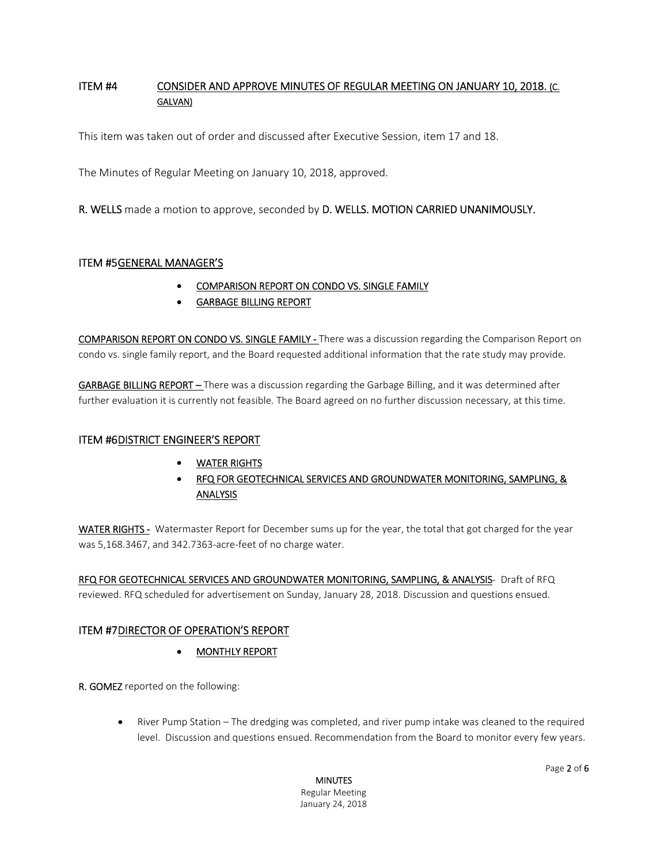### ITEM #4 CONSIDER AND APPROVE MINUTES OF REGULAR MEETING ON JANUARY 10, 2018. (C. GALVAN)

This item was taken out of order and discussed after Executive Session, item 17 and 18.

The Minutes of Regular Meeting on January 10, 2018, approved.

R. WELLS made a motion to approve, seconded by D. WELLS. MOTION CARRIED UNANIMOUSLY.

#### ITEM #5 GENERAL MANAGER'S

- COMPARISON REPORT ON CONDO VS. SINGLE FAMILY
- GARBAGE BILLING REPORT

COMPARISON REPORT ON CONDO VS. SINGLE FAMILY - There was a discussion regarding the Comparison Report on condo vs. single family report, and the Board requested additional information that the rate study may provide.

GARBAGE BILLING REPORT – There was a discussion regarding the Garbage Billing, and it was determined after further evaluation it is currently not feasible. The Board agreed on no further discussion necessary, at this time.

#### ITEM #6DISTRICT ENGINEER'S REPORT

- WATER RIGHTS
- RFQ FOR GEOTECHNICAL SERVICES AND GROUNDWATER MONITORING, SAMPLING, & ANALYSIS

WATER RIGHTS - Watermaster Report for December sums up for the year, the total that got charged for the year was 5,168.3467, and 342.7363-acre-feet of no charge water.

RFQ FOR GEOTECHNICAL SERVICES AND GROUNDWATER MONITORING, SAMPLING, & ANALYSIS- Draft of RFQ reviewed. RFQ scheduled for advertisement on Sunday, January 28, 2018. Discussion and questions ensued.

#### ITEM #7 DIRECTOR OF OPERATION'S REPORT

MONTHLY REPORT

R. GOMEZ reported on the following:

 River Pump Station – The dredging was completed, and river pump intake was cleaned to the required level. Discussion and questions ensued. Recommendation from the Board to monitor every few years.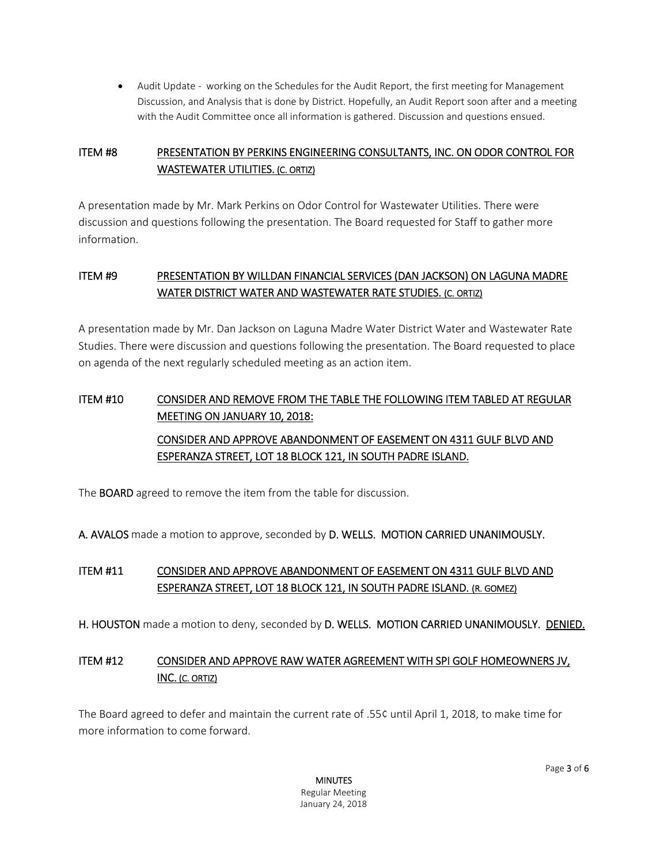Audit Update - working on the Schedules for the Audit Report, the first meeting for Management Discussion, and Analysis that is done by District. Hopefully, an Audit Report soon after and a meeting with the Audit Committee once all information is gathered. Discussion and questions ensued.

# ITEM #8 PRESENTATION BY PERKINS ENGINEERING CONSULTANTS, INC. ON ODOR CONTROL FOR WASTEWATER UTILITIES. (C. ORTIZ)

A presentation made by Mr. Mark Perkins on Odor Control for Wastewater Utilities. There were discussion and questions following the presentation. The Board requested for Staff to gather more information.

# ITEM #9 PRESENTATION BY WILLDAN FINANCIAL SERVICES (DAN JACKSON) ON LAGUNA MADRE WATER DISTRICT WATER AND WASTEWATER RATE STUDIES. (C. ORTIZ)

A presentation made by Mr. Dan Jackson on Laguna Madre Water District Water and Wastewater Rate Studies. There were discussion and questions following the presentation. The Board requested to place on agenda of the next regularly scheduled meeting as an action item.

# ITEM #10 CONSIDER AND REMOVE FROM THE TABLE THE FOLLOWING ITEM TABLED AT REGULAR MEETING ON JANUARY 10, 2018: CONSIDER AND APPROVE ABANDONMENT OF EASEMENT ON 4311 GULF BLVD AND ESPERANZA STREET, LOT 18 BLOCK 121, IN SOUTH PADRE ISLAND.

The BOARD agreed to remove the item from the table for discussion.

A. AVALOS made a motion to approve, seconded by D. WELLS. MOTION CARRIED UNANIMOUSLY.

# ITEM #11 CONSIDER AND APPROVE ABANDONMENT OF EASEMENT ON 4311 GULF BLVD AND ESPERANZA STREET, LOT 18 BLOCK 121, IN SOUTH PADRE ISLAND. (R. GOMEZ)

H. HOUSTON made a motion to deny, seconded by D. WELLS. MOTION CARRIED UNANIMOUSLY. DENIED.

# ITEM #12 CONSIDER AND APPROVE RAW WATER AGREEMENT WITH SPI GOLF HOMEOWNERS JV, INC. (C. ORTIZ)

The Board agreed to defer and maintain the current rate of .55¢ until April 1, 2018, to make time for more information to come forward.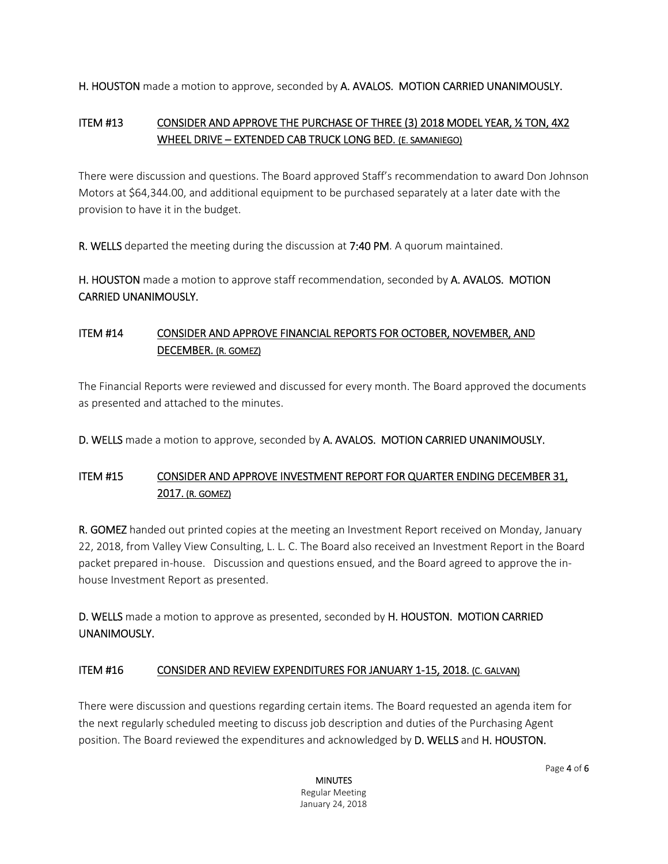H. HOUSTON made a motion to approve, seconded by A. AVALOS. MOTION CARRIED UNANIMOUSLY.

## ITEM #13 CONSIDER AND APPROVE THE PURCHASE OF THREE (3) 2018 MODEL YEAR, ½ TON, 4X2 WHEEL DRIVE – EXTENDED CAB TRUCK LONG BED. (E. SAMANIEGO)

There were discussion and questions. The Board approved Staff's recommendation to award Don Johnson Motors at \$64,344.00, and additional equipment to be purchased separately at a later date with the provision to have it in the budget.

R. WELLS departed the meeting during the discussion at 7:40 PM. A quorum maintained.

H. HOUSTON made a motion to approve staff recommendation, seconded by A. AVALOS. MOTION CARRIED UNANIMOUSLY.

# ITEM #14 CONSIDER AND APPROVE FINANCIAL REPORTS FOR OCTOBER, NOVEMBER, AND DECEMBER. (R. GOMEZ)

The Financial Reports were reviewed and discussed for every month. The Board approved the documents as presented and attached to the minutes.

D. WELLS made a motion to approve, seconded by A. AVALOS. MOTION CARRIED UNANIMOUSLY.

# ITEM #15 CONSIDER AND APPROVE INVESTMENT REPORT FOR QUARTER ENDING DECEMBER 31, 2017. (R. GOMEZ)

R. GOMEZ handed out printed copies at the meeting an Investment Report received on Monday, January 22, 2018, from Valley View Consulting, L. L. C. The Board also received an Investment Report in the Board packet prepared in-house. Discussion and questions ensued, and the Board agreed to approve the inhouse Investment Report as presented.

D. WELLS made a motion to approve as presented, seconded by H. HOUSTON. MOTION CARRIED UNANIMOUSLY.

### ITEM #16 CONSIDER AND REVIEW EXPENDITURES FOR JANUARY 1-15, 2018. (C. GALVAN)

There were discussion and questions regarding certain items. The Board requested an agenda item for the next regularly scheduled meeting to discuss job description and duties of the Purchasing Agent position. The Board reviewed the expenditures and acknowledged by D. WELLS and H. HOUSTON.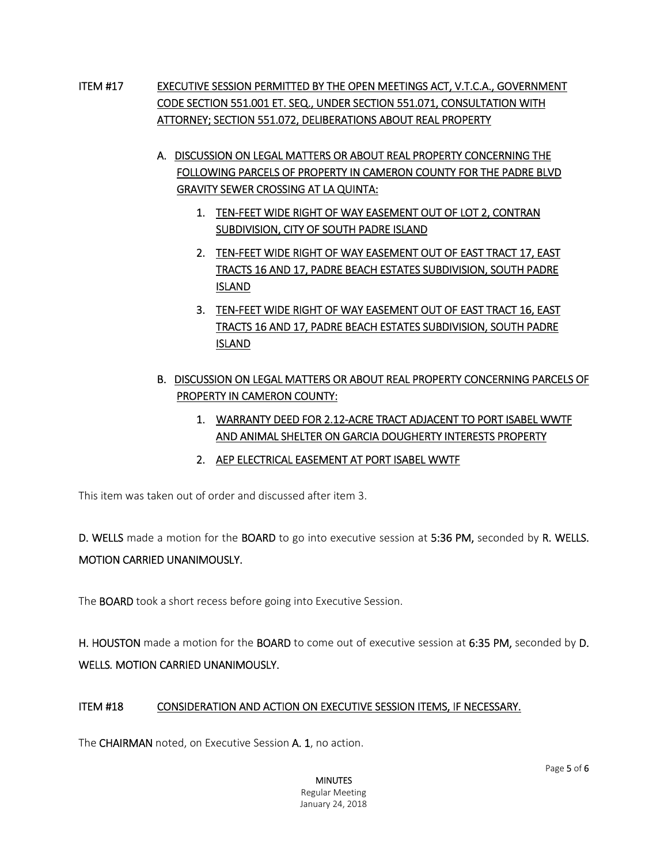- ITEM #17 EXECUTIVE SESSION PERMITTED BY THE OPEN MEETINGS ACT, V.T.C.A., GOVERNMENT CODE SECTION 551.001 ET. SEQ., UNDER SECTION 551.071, CONSULTATION WITH ATTORNEY; SECTION 551.072, DELIBERATIONS ABOUT REAL PROPERTY
	- A. DISCUSSION ON LEGAL MATTERS OR ABOUT REAL PROPERTY CONCERNING THE FOLLOWING PARCELS OF PROPERTY IN CAMERON COUNTY FOR THE PADRE BLVD GRAVITY SEWER CROSSING AT LA QUINTA:
		- 1. TEN-FEET WIDE RIGHT OF WAY EASEMENT OUT OF LOT 2, CONTRAN SUBDIVISION, CITY OF SOUTH PADRE ISLAND
		- 2. TEN-FEET WIDE RIGHT OF WAY EASEMENT OUT OF EAST TRACT 17, EAST TRACTS 16 AND 17, PADRE BEACH ESTATES SUBDIVISION, SOUTH PADRE ISLAND
		- 3. TEN-FEET WIDE RIGHT OF WAY EASEMENT OUT OF EAST TRACT 16, EAST TRACTS 16 AND 17, PADRE BEACH ESTATES SUBDIVISION, SOUTH PADRE ISLAND
	- B. DISCUSSION ON LEGAL MATTERS OR ABOUT REAL PROPERTY CONCERNING PARCELS OF PROPERTY IN CAMERON COUNTY:
		- 1. WARRANTY DEED FOR 2.12-ACRE TRACT ADJACENT TO PORT ISABEL WWTF AND ANIMAL SHELTER ON GARCIA DOUGHERTY INTERESTS PROPERTY
		- 2. AEP ELECTRICAL EASEMENT AT PORT ISABEL WWTF

This item was taken out of order and discussed after item 3.

D. WELLS made a motion for the BOARD to go into executive session at 5:36 PM, seconded by R. WELLS. MOTION CARRIED UNANIMOUSLY.

The **BOARD** took a short recess before going into Executive Session.

H. HOUSTON made a motion for the BOARD to come out of executive session at 6:35 PM, seconded by D. WELLS*.* MOTION CARRIED UNANIMOUSLY.

### ITEM #18 CONSIDERATION AND ACTION ON EXECUTIVE SESSION ITEMS, IF NECESSARY.

The CHAIRMAN noted, on Executive Session A. 1, no action.